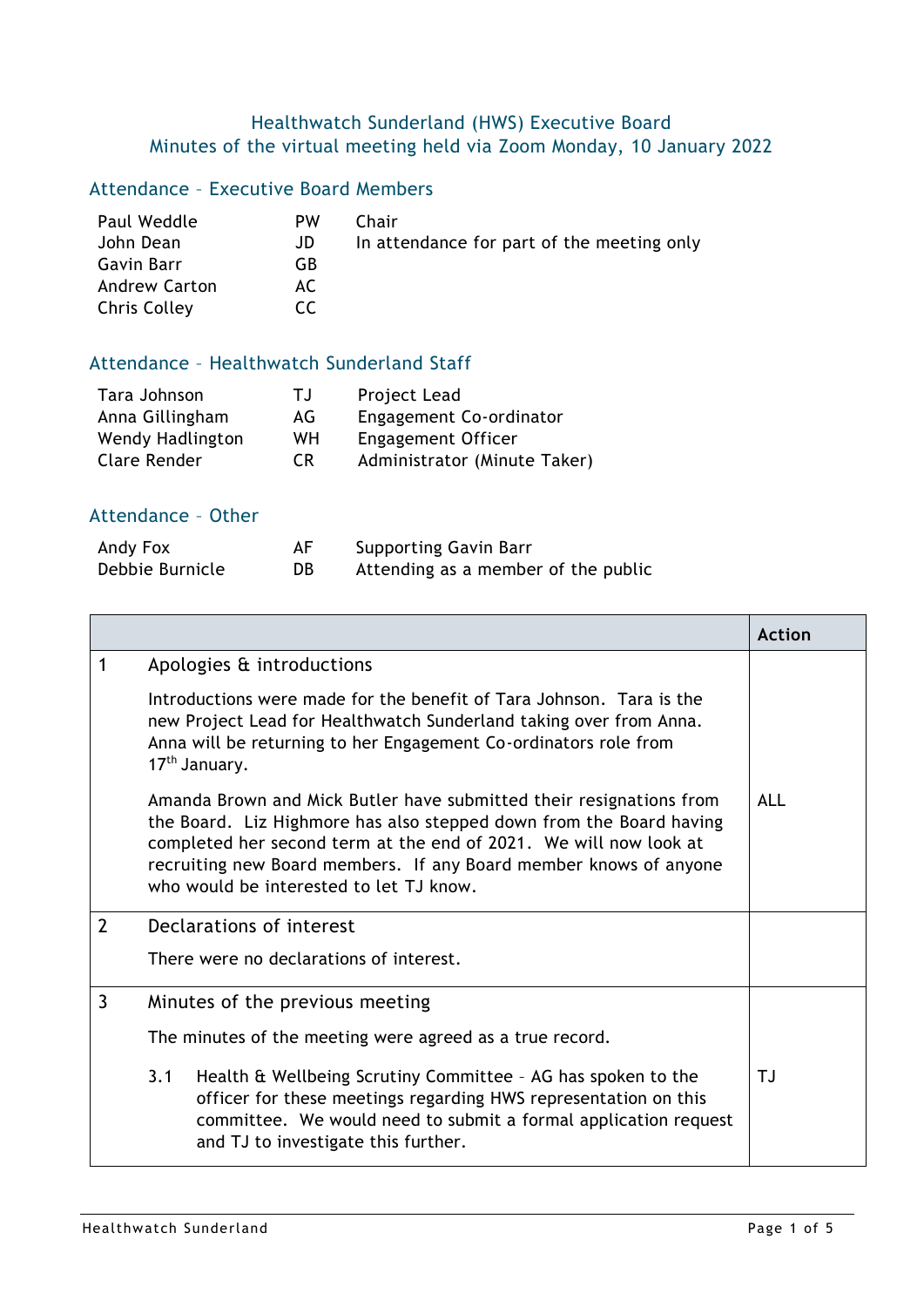## Healthwatch Sunderland (HWS) Executive Board Minutes of the virtual meeting held via Zoom Monday, 10 January 2022

## Attendance – Executive Board Members

| Paul Weddle          | PW  | Chair                                      |
|----------------------|-----|--------------------------------------------|
| John Dean            | JD  | In attendance for part of the meeting only |
| Gavin Barr           | GB  |                                            |
| <b>Andrew Carton</b> | AC. |                                            |
| Chris Colley         | CC. |                                            |

## Attendance – Healthwatch Sunderland Staff

| Tara Johnson     | TJ. | Project Lead                 |
|------------------|-----|------------------------------|
| Anna Gillingham  | AG. | Engagement Co-ordinator      |
| Wendy Hadlington | WH. | Engagement Officer           |
| Clare Render     | CR. | Administrator (Minute Taker) |

## Attendance – Other

| Andy Fox        | AF | <b>Supporting Gavin Barr</b>        |
|-----------------|----|-------------------------------------|
| Debbie Burnicle | DB | Attending as a member of the public |

|                |                                                                                                                                                                                                                                                                                                                                 | <b>Action</b> |  |
|----------------|---------------------------------------------------------------------------------------------------------------------------------------------------------------------------------------------------------------------------------------------------------------------------------------------------------------------------------|---------------|--|
| 1              | Apologies & introductions                                                                                                                                                                                                                                                                                                       |               |  |
|                | Introductions were made for the benefit of Tara Johnson. Tara is the<br>new Project Lead for Healthwatch Sunderland taking over from Anna.<br>Anna will be returning to her Engagement Co-ordinators role from<br>17 <sup>th</sup> January.                                                                                     |               |  |
|                | Amanda Brown and Mick Butler have submitted their resignations from<br>the Board. Liz Highmore has also stepped down from the Board having<br>completed her second term at the end of 2021. We will now look at<br>recruiting new Board members. If any Board member knows of anyone<br>who would be interested to let TJ know. | ALL           |  |
| $\overline{2}$ | Declarations of interest                                                                                                                                                                                                                                                                                                        |               |  |
|                | There were no declarations of interest.                                                                                                                                                                                                                                                                                         |               |  |
| 3              | Minutes of the previous meeting                                                                                                                                                                                                                                                                                                 |               |  |
|                | The minutes of the meeting were agreed as a true record.                                                                                                                                                                                                                                                                        |               |  |
|                | 3.1<br>Health & Wellbeing Scrutiny Committee - AG has spoken to the<br>officer for these meetings regarding HWS representation on this<br>committee. We would need to submit a formal application request<br>and TJ to investigate this further.                                                                                | ТJ            |  |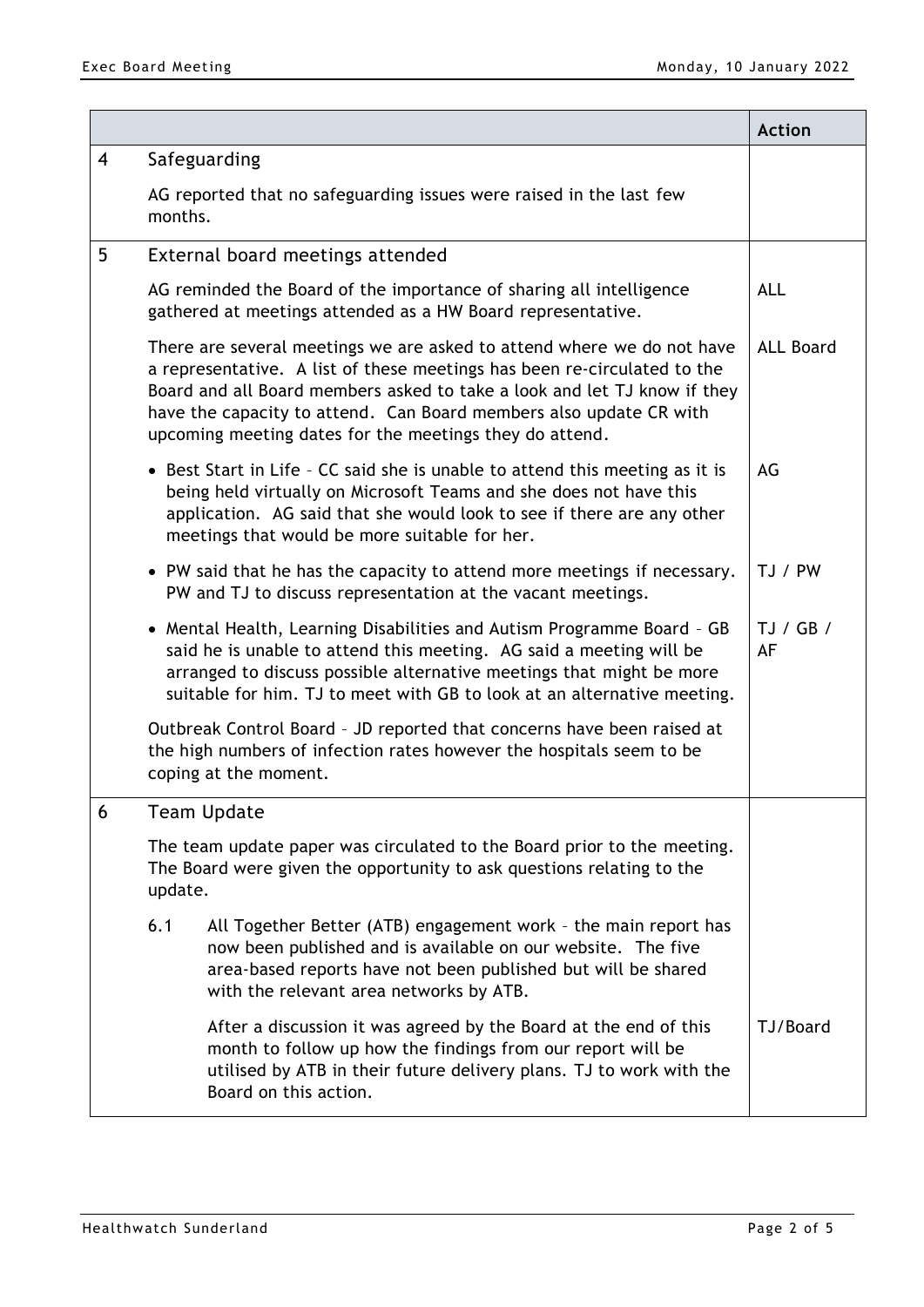|                |                                                                                                                                                                                                                                                                                                                                                                 |                                                                                                                                                                                                                                             | <b>Action</b>    |
|----------------|-----------------------------------------------------------------------------------------------------------------------------------------------------------------------------------------------------------------------------------------------------------------------------------------------------------------------------------------------------------------|---------------------------------------------------------------------------------------------------------------------------------------------------------------------------------------------------------------------------------------------|------------------|
| $\overline{4}$ | Safeguarding                                                                                                                                                                                                                                                                                                                                                    |                                                                                                                                                                                                                                             |                  |
|                | months.                                                                                                                                                                                                                                                                                                                                                         | AG reported that no safeguarding issues were raised in the last few                                                                                                                                                                         |                  |
| 5              |                                                                                                                                                                                                                                                                                                                                                                 | External board meetings attended                                                                                                                                                                                                            |                  |
|                |                                                                                                                                                                                                                                                                                                                                                                 | AG reminded the Board of the importance of sharing all intelligence<br>gathered at meetings attended as a HW Board representative.                                                                                                          | <b>ALL</b>       |
|                | There are several meetings we are asked to attend where we do not have<br>a representative. A list of these meetings has been re-circulated to the<br>Board and all Board members asked to take a look and let TJ know if they<br>have the capacity to attend. Can Board members also update CR with<br>upcoming meeting dates for the meetings they do attend. |                                                                                                                                                                                                                                             | <b>ALL Board</b> |
|                | • Best Start in Life - CC said she is unable to attend this meeting as it is<br>being held virtually on Microsoft Teams and she does not have this<br>application. AG said that she would look to see if there are any other<br>meetings that would be more suitable for her.                                                                                   |                                                                                                                                                                                                                                             |                  |
|                | • PW said that he has the capacity to attend more meetings if necessary.<br>PW and TJ to discuss representation at the vacant meetings.                                                                                                                                                                                                                         |                                                                                                                                                                                                                                             | TJ / PW          |
|                | • Mental Health, Learning Disabilities and Autism Programme Board - GB<br>said he is unable to attend this meeting. AG said a meeting will be<br>arranged to discuss possible alternative meetings that might be more<br>suitable for him. TJ to meet with GB to look at an alternative meeting.                                                                |                                                                                                                                                                                                                                             | TJ/GB/<br>AF     |
|                |                                                                                                                                                                                                                                                                                                                                                                 | Outbreak Control Board - JD reported that concerns have been raised at<br>the high numbers of infection rates however the hospitals seem to be<br>coping at the moment.                                                                     |                  |
| 6              | Team Update                                                                                                                                                                                                                                                                                                                                                     |                                                                                                                                                                                                                                             |                  |
|                | The team update paper was circulated to the Board prior to the meeting.<br>The Board were given the opportunity to ask questions relating to the<br>update.                                                                                                                                                                                                     |                                                                                                                                                                                                                                             |                  |
|                | 6.1                                                                                                                                                                                                                                                                                                                                                             | All Together Better (ATB) engagement work - the main report has<br>now been published and is available on our website. The five<br>area-based reports have not been published but will be shared<br>with the relevant area networks by ATB. |                  |
|                |                                                                                                                                                                                                                                                                                                                                                                 | After a discussion it was agreed by the Board at the end of this<br>month to follow up how the findings from our report will be<br>utilised by ATB in their future delivery plans. TJ to work with the<br>Board on this action.             | TJ/Board         |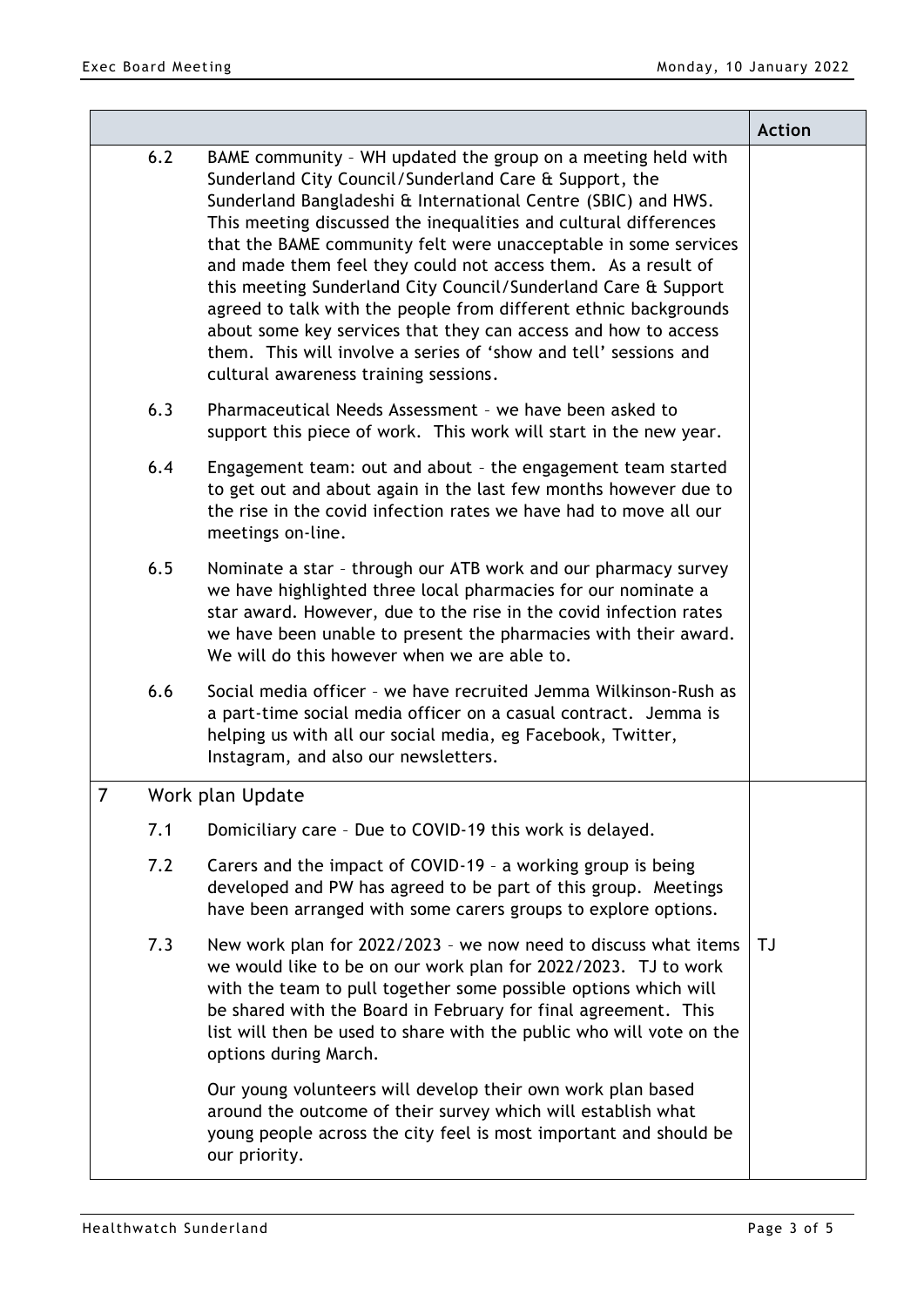|   |     |                                                                                                                                                                                                                                                                                                                                                                                                                                                                                                                                                                                                                                                                                                                      | <b>Action</b> |
|---|-----|----------------------------------------------------------------------------------------------------------------------------------------------------------------------------------------------------------------------------------------------------------------------------------------------------------------------------------------------------------------------------------------------------------------------------------------------------------------------------------------------------------------------------------------------------------------------------------------------------------------------------------------------------------------------------------------------------------------------|---------------|
|   | 6.2 | BAME community - WH updated the group on a meeting held with<br>Sunderland City Council/Sunderland Care & Support, the<br>Sunderland Bangladeshi & International Centre (SBIC) and HWS.<br>This meeting discussed the inequalities and cultural differences<br>that the BAME community felt were unacceptable in some services<br>and made them feel they could not access them. As a result of<br>this meeting Sunderland City Council/Sunderland Care & Support<br>agreed to talk with the people from different ethnic backgrounds<br>about some key services that they can access and how to access<br>them. This will involve a series of 'show and tell' sessions and<br>cultural awareness training sessions. |               |
|   | 6.3 | Pharmaceutical Needs Assessment - we have been asked to<br>support this piece of work. This work will start in the new year.                                                                                                                                                                                                                                                                                                                                                                                                                                                                                                                                                                                         |               |
|   | 6.4 | Engagement team: out and about - the engagement team started<br>to get out and about again in the last few months however due to<br>the rise in the covid infection rates we have had to move all our<br>meetings on-line.                                                                                                                                                                                                                                                                                                                                                                                                                                                                                           |               |
|   | 6.5 | Nominate a star - through our ATB work and our pharmacy survey<br>we have highlighted three local pharmacies for our nominate a<br>star award. However, due to the rise in the covid infection rates<br>we have been unable to present the pharmacies with their award.<br>We will do this however when we are able to.                                                                                                                                                                                                                                                                                                                                                                                              |               |
|   | 6.6 | Social media officer - we have recruited Jemma Wilkinson-Rush as<br>a part-time social media officer on a casual contract. Jemma is<br>helping us with all our social media, eg Facebook, Twitter,<br>Instagram, and also our newsletters.                                                                                                                                                                                                                                                                                                                                                                                                                                                                           |               |
| 7 |     | Work plan Update                                                                                                                                                                                                                                                                                                                                                                                                                                                                                                                                                                                                                                                                                                     |               |
|   | 7.1 | Domiciliary care - Due to COVID-19 this work is delayed.                                                                                                                                                                                                                                                                                                                                                                                                                                                                                                                                                                                                                                                             |               |
|   | 7.2 | Carers and the impact of COVID-19 - a working group is being<br>developed and PW has agreed to be part of this group. Meetings<br>have been arranged with some carers groups to explore options.                                                                                                                                                                                                                                                                                                                                                                                                                                                                                                                     |               |
|   | 7.3 | New work plan for 2022/2023 - we now need to discuss what items<br>we would like to be on our work plan for 2022/2023. TJ to work<br>with the team to pull together some possible options which will<br>be shared with the Board in February for final agreement. This<br>list will then be used to share with the public who will vote on the<br>options during March.                                                                                                                                                                                                                                                                                                                                              | TJ            |
|   |     | Our young volunteers will develop their own work plan based<br>around the outcome of their survey which will establish what<br>young people across the city feel is most important and should be<br>our priority.                                                                                                                                                                                                                                                                                                                                                                                                                                                                                                    |               |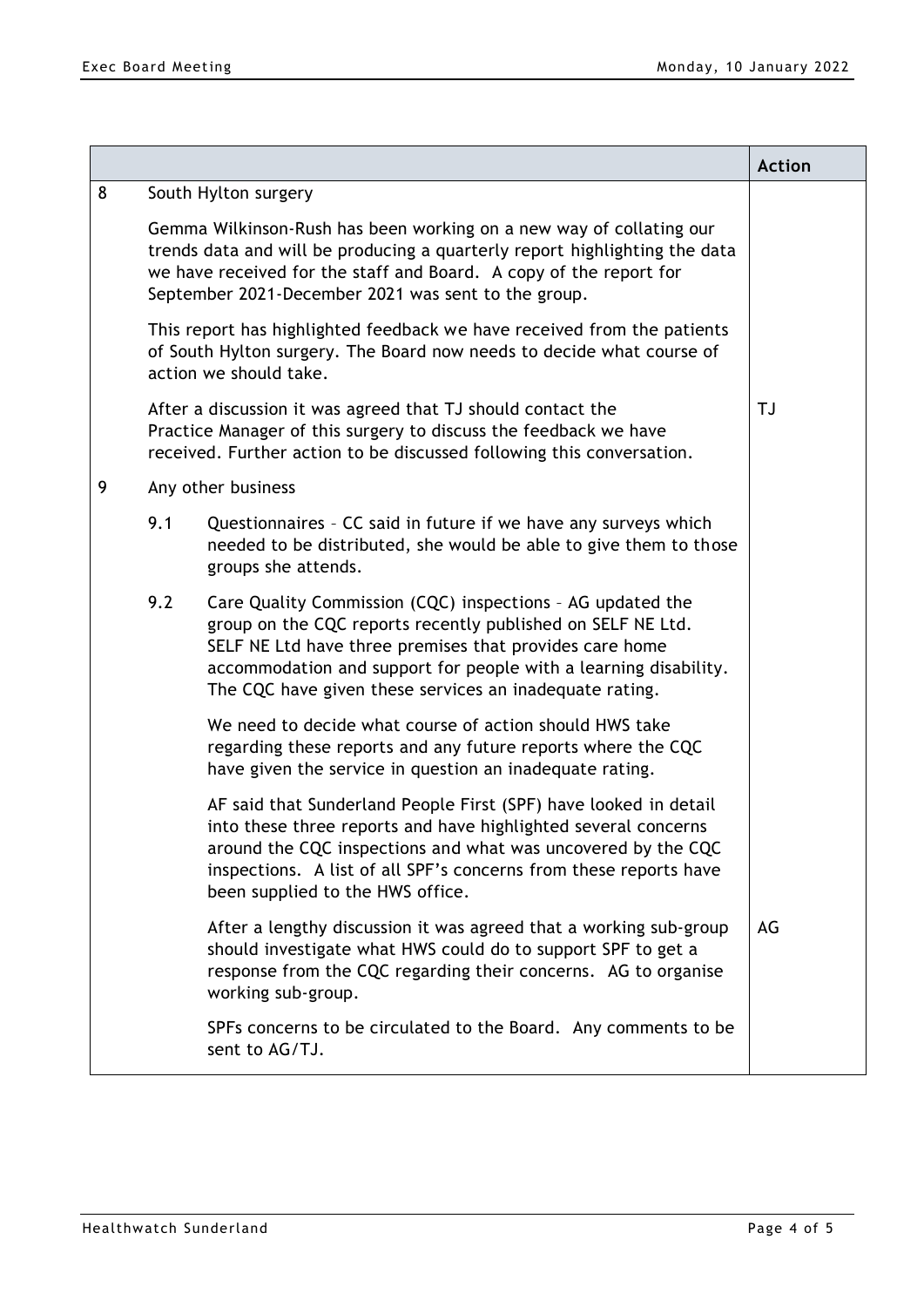|   |                                                                                                                                                                                                                                                                                |                                                                                                                                                                                                                                                                                                                     | <b>Action</b> |
|---|--------------------------------------------------------------------------------------------------------------------------------------------------------------------------------------------------------------------------------------------------------------------------------|---------------------------------------------------------------------------------------------------------------------------------------------------------------------------------------------------------------------------------------------------------------------------------------------------------------------|---------------|
| 8 |                                                                                                                                                                                                                                                                                | South Hylton surgery                                                                                                                                                                                                                                                                                                |               |
|   | Gemma Wilkinson-Rush has been working on a new way of collating our<br>trends data and will be producing a quarterly report highlighting the data<br>we have received for the staff and Board. A copy of the report for<br>September 2021-December 2021 was sent to the group. |                                                                                                                                                                                                                                                                                                                     |               |
|   | This report has highlighted feedback we have received from the patients<br>of South Hylton surgery. The Board now needs to decide what course of<br>action we should take.                                                                                                     |                                                                                                                                                                                                                                                                                                                     |               |
|   |                                                                                                                                                                                                                                                                                | After a discussion it was agreed that TJ should contact the<br>Practice Manager of this surgery to discuss the feedback we have<br>received. Further action to be discussed following this conversation.                                                                                                            | TJ            |
| 9 |                                                                                                                                                                                                                                                                                | Any other business                                                                                                                                                                                                                                                                                                  |               |
|   | 9.1                                                                                                                                                                                                                                                                            | Questionnaires - CC said in future if we have any surveys which<br>needed to be distributed, she would be able to give them to those<br>groups she attends.                                                                                                                                                         |               |
|   | 9.2                                                                                                                                                                                                                                                                            | Care Quality Commission (CQC) inspections - AG updated the<br>group on the CQC reports recently published on SELF NE Ltd.<br>SELF NE Ltd have three premises that provides care home<br>accommodation and support for people with a learning disability.<br>The CQC have given these services an inadequate rating. |               |
|   |                                                                                                                                                                                                                                                                                | We need to decide what course of action should HWS take<br>regarding these reports and any future reports where the CQC<br>have given the service in question an inadequate rating.                                                                                                                                 |               |
|   |                                                                                                                                                                                                                                                                                | AF said that Sunderland People First (SPF) have looked in detail<br>into these three reports and have highlighted several concerns<br>around the CQC inspections and what was uncovered by the CQC<br>inspections. A list of all SPF's concerns from these reports have<br>been supplied to the HWS office.         |               |
|   |                                                                                                                                                                                                                                                                                | After a lengthy discussion it was agreed that a working sub-group<br>should investigate what HWS could do to support SPF to get a<br>response from the CQC regarding their concerns. AG to organise<br>working sub-group.                                                                                           | AG            |
|   |                                                                                                                                                                                                                                                                                | SPFs concerns to be circulated to the Board. Any comments to be<br>sent to AG/TJ.                                                                                                                                                                                                                                   |               |